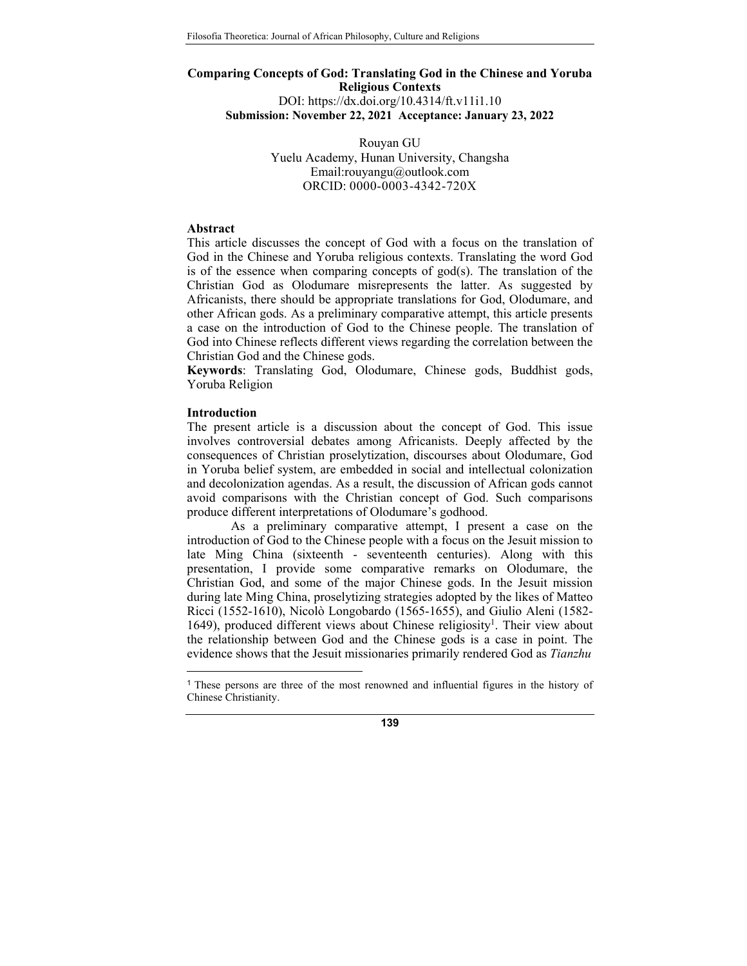# **Comparing Concepts of God: Translating God in the Chinese and Yoruba Religious Contexts** DOI: https://dx.doi.org/10.4314/ft.v11i1.10 **Submission: November 22, 2021 Acceptance: January 23, 2022**

Rouyan GU Yuelu Academy, Hunan University, Changsha Email:rouyangu@outlook.com ORCID: 0000-0003-4342-720X

#### **Abstract**

This article discusses the concept of God with a focus on the translation of God in the Chinese and Yoruba religious contexts. Translating the word God is of the essence when comparing concepts of god(s). The translation of the Christian God as Olodumare misrepresents the latter. As suggested by Africanists, there should be appropriate translations for God, Olodumare, and other African gods. As a preliminary comparative attempt, this article presents a case on the introduction of God to the Chinese people. The translation of God into Chinese reflects different views regarding the correlation between the Christian God and the Chinese gods.

**Keywords**: Translating God, Olodumare, Chinese gods, Buddhist gods, Yoruba Religion

#### **Introduction**

<u>.</u>

The present article is a discussion about the concept of God. This issue involves controversial debates among Africanists. Deeply affected by the consequences of Christian proselytization, discourses about Olodumare, God in Yoruba belief system, are embedded in social and intellectual colonization and decolonization agendas. As a result, the discussion of African gods cannot avoid comparisons with the Christian concept of God. Such comparisons produce different interpretations of Olodumare's godhood.

 As a preliminary comparative attempt, I present a case on the introduction of God to the Chinese people with a focus on the Jesuit mission to late Ming China (sixteenth - seventeenth centuries). Along with this presentation, I provide some comparative remarks on Olodumare, the Christian God, and some of the major Chinese gods. In the Jesuit mission during late Ming China, proselytizing strategies adopted by the likes of Matteo Ricci (1552-1610), Nicolò Longobardo (1565-1655), and Giulio Aleni (1582- 1649), produced different views about Chinese religiosity<sup>1</sup>. Their view about the relationship between God and the Chinese gods is a case in point. The evidence shows that the Jesuit missionaries primarily rendered God as *Tianzhu*

<sup>1</sup> These persons are three of the most renowned and influential figures in the history of Chinese Christianity.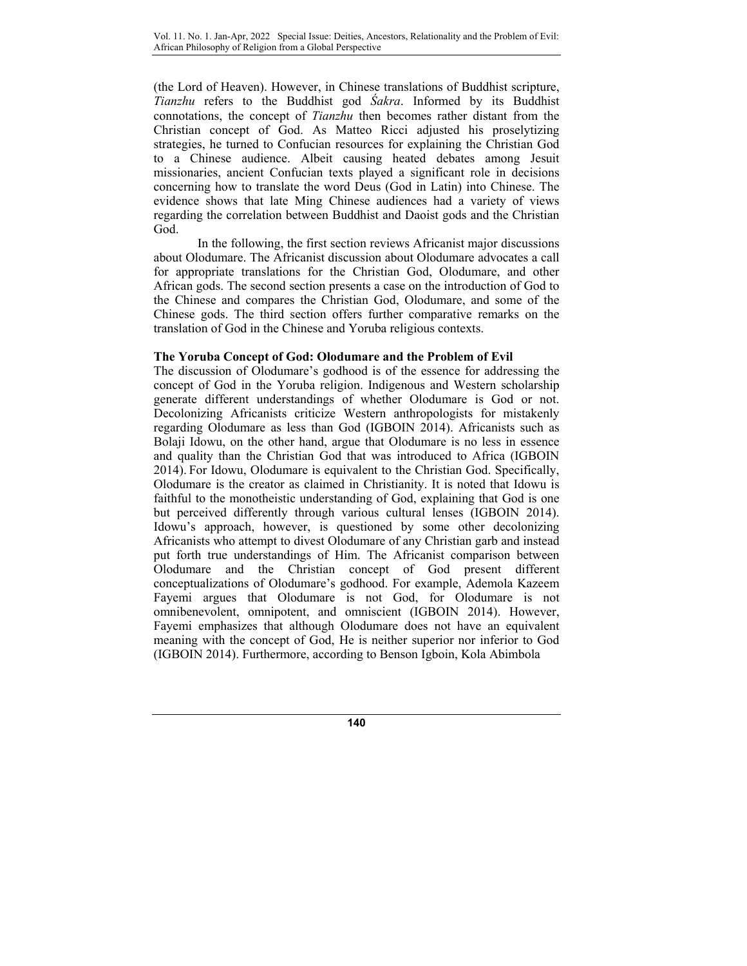(the Lord of Heaven). However, in Chinese translations of Buddhist scripture, *Tianzhu* refers to the Buddhist god *Śakra*. Informed by its Buddhist connotations, the concept of *Tianzhu* then becomes rather distant from the Christian concept of God. As Matteo Ricci adjusted his proselytizing strategies, he turned to Confucian resources for explaining the Christian God to a Chinese audience. Albeit causing heated debates among Jesuit missionaries, ancient Confucian texts played a significant role in decisions concerning how to translate the word Deus (God in Latin) into Chinese. The evidence shows that late Ming Chinese audiences had a variety of views regarding the correlation between Buddhist and Daoist gods and the Christian God.

In the following, the first section reviews Africanist major discussions about Olodumare. The Africanist discussion about Olodumare advocates a call for appropriate translations for the Christian God, Olodumare, and other African gods. The second section presents a case on the introduction of God to the Chinese and compares the Christian God, Olodumare, and some of the Chinese gods. The third section offers further comparative remarks on the translation of God in the Chinese and Yoruba religious contexts.

## **The Yoruba Concept of God: Olodumare and the Problem of Evil**

The discussion of Olodumare's godhood is of the essence for addressing the concept of God in the Yoruba religion. Indigenous and Western scholarship generate different understandings of whether Olodumare is God or not. Decolonizing Africanists criticize Western anthropologists for mistakenly regarding Olodumare as less than God (IGBOIN 2014). Africanists such as Bolaji Idowu, on the other hand, argue that Olodumare is no less in essence and quality than the Christian God that was introduced to Africa (IGBOIN 2014). For Idowu, Olodumare is equivalent to the Christian God. Specifically, Olodumare is the creator as claimed in Christianity. It is noted that Idowu is faithful to the monotheistic understanding of God, explaining that God is one but perceived differently through various cultural lenses (IGBOIN 2014). Idowu's approach, however, is questioned by some other decolonizing Africanists who attempt to divest Olodumare of any Christian garb and instead put forth true understandings of Him. The Africanist comparison between Olodumare and the Christian concept of God present different conceptualizations of Olodumare's godhood. For example, Ademola Kazeem Fayemi argues that Olodumare is not God, for Olodumare is not omnibenevolent, omnipotent, and omniscient (IGBOIN 2014). However, Fayemi emphasizes that although Olodumare does not have an equivalent meaning with the concept of God, He is neither superior nor inferior to God (IGBOIN 2014). Furthermore, according to Benson Igboin, Kola Abimbola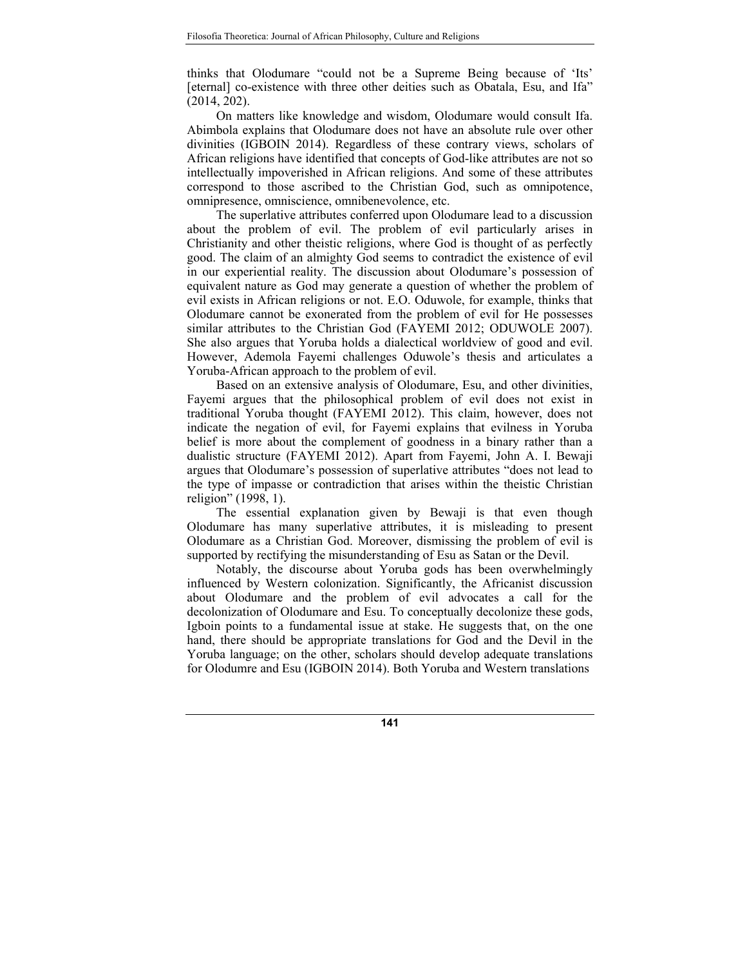thinks that Olodumare "could not be a Supreme Being because of 'Its' [eternal] co-existence with three other deities such as Obatala, Esu, and Ifa" (2014, 202).

On matters like knowledge and wisdom, Olodumare would consult Ifa. Abimbola explains that Olodumare does not have an absolute rule over other divinities (IGBOIN 2014). Regardless of these contrary views, scholars of African religions have identified that concepts of God-like attributes are not so intellectually impoverished in African religions. And some of these attributes correspond to those ascribed to the Christian God, such as omnipotence, omnipresence, omniscience, omnibenevolence, etc.

The superlative attributes conferred upon Olodumare lead to a discussion about the problem of evil. The problem of evil particularly arises in Christianity and other theistic religions, where God is thought of as perfectly good. The claim of an almighty God seems to contradict the existence of evil in our experiential reality. The discussion about Olodumare's possession of equivalent nature as God may generate a question of whether the problem of evil exists in African religions or not. E.O. Oduwole, for example, thinks that Olodumare cannot be exonerated from the problem of evil for He possesses similar attributes to the Christian God (FAYEMI 2012; ODUWOLE 2007). She also argues that Yoruba holds a dialectical worldview of good and evil. However, Ademola Fayemi challenges Oduwole's thesis and articulates a Yoruba-African approach to the problem of evil.

Based on an extensive analysis of Olodumare, Esu, and other divinities, Fayemi argues that the philosophical problem of evil does not exist in traditional Yoruba thought (FAYEMI 2012). This claim, however, does not indicate the negation of evil, for Fayemi explains that evilness in Yoruba belief is more about the complement of goodness in a binary rather than a dualistic structure (FAYEMI 2012). Apart from Fayemi, John A. I. Bewaji argues that Olodumare's possession of superlative attributes "does not lead to the type of impasse or contradiction that arises within the theistic Christian religion" (1998, 1).

The essential explanation given by Bewaji is that even though Olodumare has many superlative attributes, it is misleading to present Olodumare as a Christian God. Moreover, dismissing the problem of evil is supported by rectifying the misunderstanding of Esu as Satan or the Devil.

Notably, the discourse about Yoruba gods has been overwhelmingly influenced by Western colonization. Significantly, the Africanist discussion about Olodumare and the problem of evil advocates a call for the decolonization of Olodumare and Esu. To conceptually decolonize these gods, Igboin points to a fundamental issue at stake. He suggests that, on the one hand, there should be appropriate translations for God and the Devil in the Yoruba language; on the other, scholars should develop adequate translations for Olodumre and Esu (IGBOIN 2014). Both Yoruba and Western translations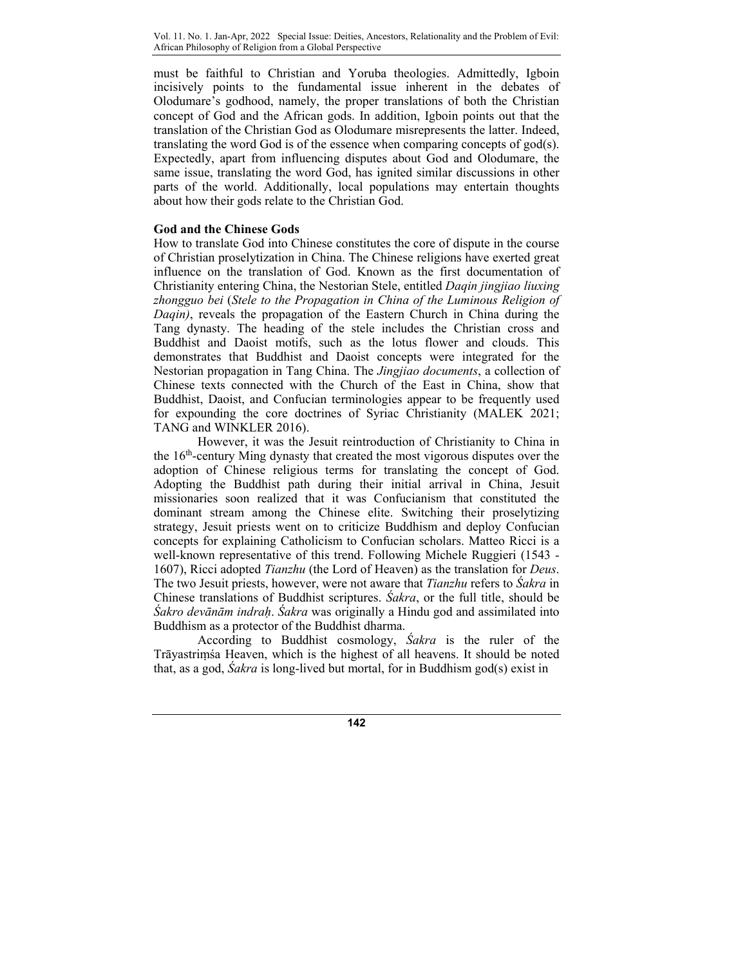must be faithful to Christian and Yoruba theologies. Admittedly, Igboin incisively points to the fundamental issue inherent in the debates of Olodumare's godhood, namely, the proper translations of both the Christian concept of God and the African gods. In addition, Igboin points out that the translation of the Christian God as Olodumare misrepresents the latter. Indeed, translating the word God is of the essence when comparing concepts of god(s). Expectedly, apart from influencing disputes about God and Olodumare, the same issue, translating the word God, has ignited similar discussions in other parts of the world. Additionally, local populations may entertain thoughts about how their gods relate to the Christian God.

## **God and the Chinese Gods**

How to translate God into Chinese constitutes the core of dispute in the course of Christian proselytization in China. The Chinese religions have exerted great influence on the translation of God. Known as the first documentation of Christianity entering China, the Nestorian Stele, entitled *Daqin jingjiao liuxing zhongguo bei* (*Stele to the Propagation in China of the Luminous Religion of Daqin)*, reveals the propagation of the Eastern Church in China during the Tang dynasty. The heading of the stele includes the Christian cross and Buddhist and Daoist motifs, such as the lotus flower and clouds. This demonstrates that Buddhist and Daoist concepts were integrated for the Nestorian propagation in Tang China. The *Jingjiao documents*, a collection of Chinese texts connected with the Church of the East in China, show that Buddhist, Daoist, and Confucian terminologies appear to be frequently used for expounding the core doctrines of Syriac Christianity (MALEK 2021; TANG and WINKLER 2016).

However, it was the Jesuit reintroduction of Christianity to China in the  $16<sup>th</sup>$ -century Ming dynasty that created the most vigorous disputes over the adoption of Chinese religious terms for translating the concept of God. Adopting the Buddhist path during their initial arrival in China, Jesuit missionaries soon realized that it was Confucianism that constituted the dominant stream among the Chinese elite. Switching their proselytizing strategy, Jesuit priests went on to criticize Buddhism and deploy Confucian concepts for explaining Catholicism to Confucian scholars. Matteo Ricci is a well-known representative of this trend. Following Michele Ruggieri (1543 - 1607), Ricci adopted *Tianzhu* (the Lord of Heaven) as the translation for *Deus*. The two Jesuit priests, however, were not aware that *Tianzhu* refers to *Śakra* in Chinese translations of Buddhist scriptures. *Śakra*, or the full title, should be *Śakro devānām indraḥ*. *Śakra* was originally a Hindu god and assimilated into Buddhism as a protector of the Buddhist dharma.

According to Buddhist cosmology, *Śakra* is the ruler of the Trāyastriṃśa Heaven, which is the highest of all heavens. It should be noted that, as a god, *Śakra* is long-lived but mortal, for in Buddhism god(s) exist in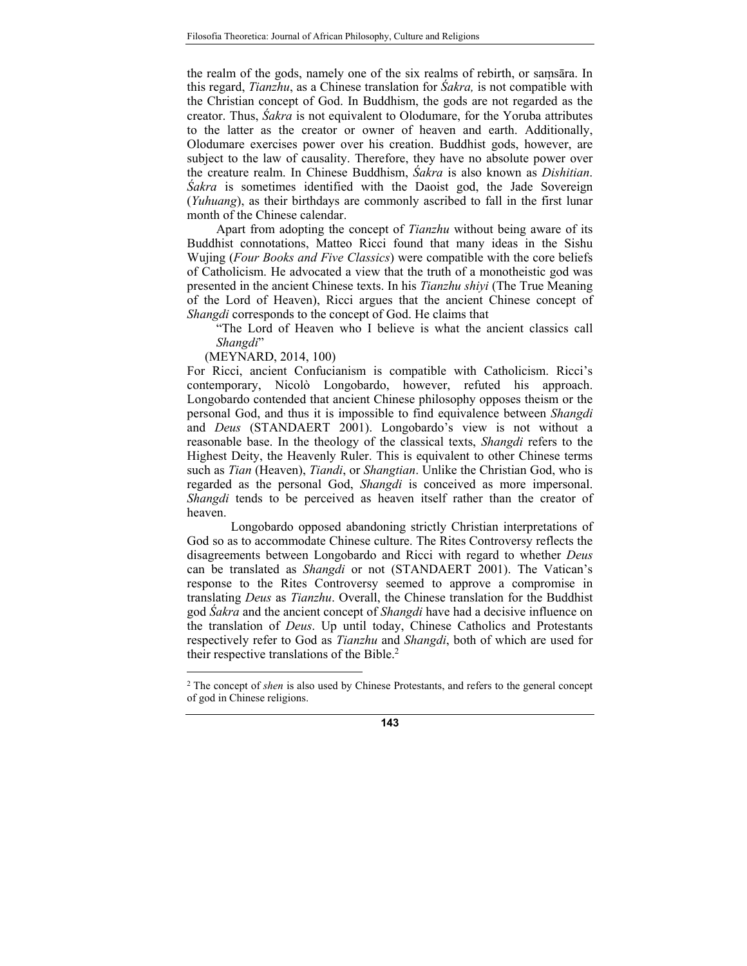the realm of the gods, namely one of the six realms of rebirth, or saṃsāra. In this regard, *Tianzhu*, as a Chinese translation for *Śakra,* is not compatible with the Christian concept of God. In Buddhism, the gods are not regarded as the creator. Thus, *Śakra* is not equivalent to Olodumare, for the Yoruba attributes to the latter as the creator or owner of heaven and earth. Additionally, Olodumare exercises power over his creation. Buddhist gods, however, are subject to the law of causality. Therefore, they have no absolute power over the creature realm. In Chinese Buddhism, *Śakra* is also known as *Dishitian*. *Śakra* is sometimes identified with the Daoist god, the Jade Sovereign (*Yuhuang*), as their birthdays are commonly ascribed to fall in the first lunar month of the Chinese calendar.

Apart from adopting the concept of *Tianzhu* without being aware of its Buddhist connotations, Matteo Ricci found that many ideas in the Sishu Wujing (*Four Books and Five Classics*) were compatible with the core beliefs of Catholicism. He advocated a view that the truth of a monotheistic god was presented in the ancient Chinese texts. In his *Tianzhu shiyi* (The True Meaning of the Lord of Heaven), Ricci argues that the ancient Chinese concept of *Shangdi* corresponds to the concept of God. He claims that

"The Lord of Heaven who I believe is what the ancient classics call *Shangdi*"

(MEYNARD, 2014, 100)

<u>.</u>

For Ricci, ancient Confucianism is compatible with Catholicism. Ricci's contemporary, Nicolò Longobardo, however, refuted his approach. Longobardo contended that ancient Chinese philosophy opposes theism or the personal God, and thus it is impossible to find equivalence between *Shangdi* and *Deus* (STANDAERT 2001). Longobardo's view is not without a reasonable base. In the theology of the classical texts, *Shangdi* refers to the Highest Deity, the Heavenly Ruler. This is equivalent to other Chinese terms such as *Tian* (Heaven), *Tiandi*, or *Shangtian*. Unlike the Christian God, who is regarded as the personal God, *Shangdi* is conceived as more impersonal. *Shangdi* tends to be perceived as heaven itself rather than the creator of heaven.

Longobardo opposed abandoning strictly Christian interpretations of God so as to accommodate Chinese culture. The Rites Controversy reflects the disagreements between Longobardo and Ricci with regard to whether *Deus* can be translated as *Shangdi* or not (STANDAERT 2001). The Vatican's response to the Rites Controversy seemed to approve a compromise in translating *Deus* as *Tianzhu*. Overall, the Chinese translation for the Buddhist god *Śakra* and the ancient concept of *Shangdi* have had a decisive influence on the translation of *Deus*. Up until today, Chinese Catholics and Protestants respectively refer to God as *Tianzhu* and *Shangdi*, both of which are used for their respective translations of the Bible.<sup>2</sup>

<sup>2</sup> The concept of *shen* is also used by Chinese Protestants, and refers to the general concept of god in Chinese religions.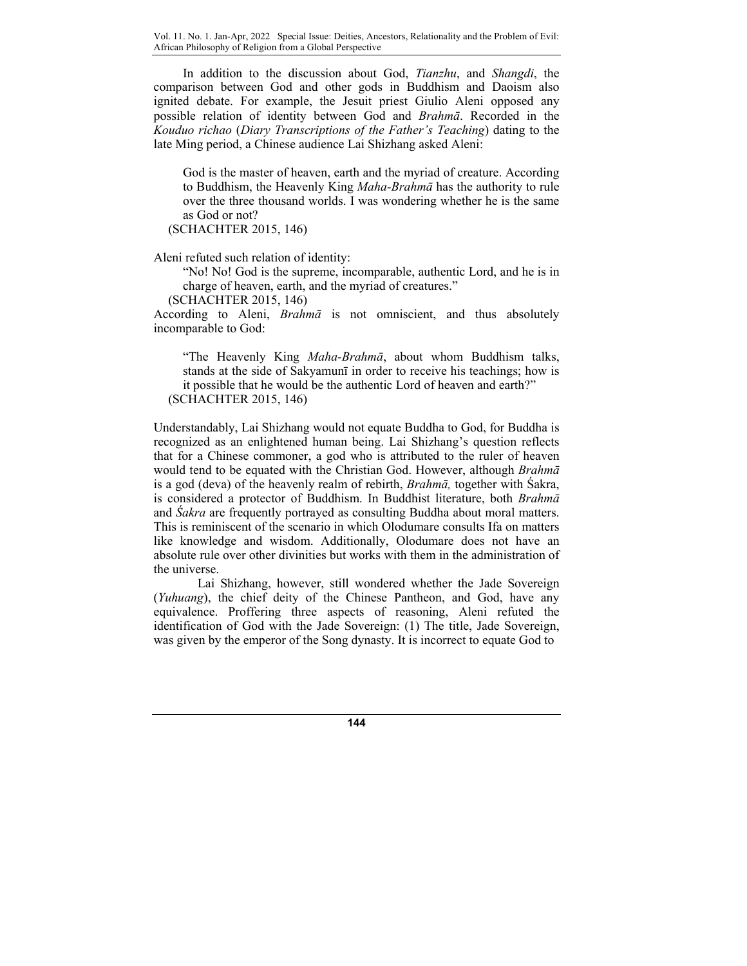Vol. 11. No. 1. Jan-Apr, 2022 Special Issue: Deities, Ancestors, Relationality and the Problem of Evil: African Philosophy of Religion from a Global Perspective

In addition to the discussion about God, *Tianzhu*, and *Shangdi*, the comparison between God and other gods in Buddhism and Daoism also ignited debate. For example, the Jesuit priest Giulio Aleni opposed any possible relation of identity between God and *Brahmā*. Recorded in the *Kouduo richao* (*Diary Transcriptions of the Father's Teaching*) dating to the late Ming period, a Chinese audience Lai Shizhang asked Aleni:

God is the master of heaven, earth and the myriad of creature. According to Buddhism, the Heavenly King *Maha-Brahmā* has the authority to rule over the three thousand worlds. I was wondering whether he is the same as God or not?

(SCHACHTER 2015, 146)

Aleni refuted such relation of identity:

"No! No! God is the supreme, incomparable, authentic Lord, and he is in charge of heaven, earth, and the myriad of creatures."

(SCHACHTER 2015, 146)

According to Aleni, *Brahmā* is not omniscient, and thus absolutely incomparable to God:

"The Heavenly King *Maha-Brahmā*, about whom Buddhism talks, stands at the side of Sakyamunī in order to receive his teachings; how is it possible that he would be the authentic Lord of heaven and earth?" (SCHACHTER 2015, 146)

Understandably, Lai Shizhang would not equate Buddha to God, for Buddha is recognized as an enlightened human being. Lai Shizhang's question reflects that for a Chinese commoner, a god who is attributed to the ruler of heaven would tend to be equated with the Christian God. However, although *Brahmā* is a god (deva) of the heavenly realm of rebirth, *Brahmā,* together with Śakra, is considered a protector of Buddhism. In Buddhist literature, both *Brahmā* and *Śakra* are frequently portrayed as consulting Buddha about moral matters. This is reminiscent of the scenario in which Olodumare consults Ifa on matters like knowledge and wisdom. Additionally, Olodumare does not have an absolute rule over other divinities but works with them in the administration of the universe.

 Lai Shizhang, however, still wondered whether the Jade Sovereign (*Yuhuang*), the chief deity of the Chinese Pantheon, and God, have any equivalence. Proffering three aspects of reasoning, Aleni refuted the identification of God with the Jade Sovereign: (1) The title, Jade Sovereign, was given by the emperor of the Song dynasty. It is incorrect to equate God to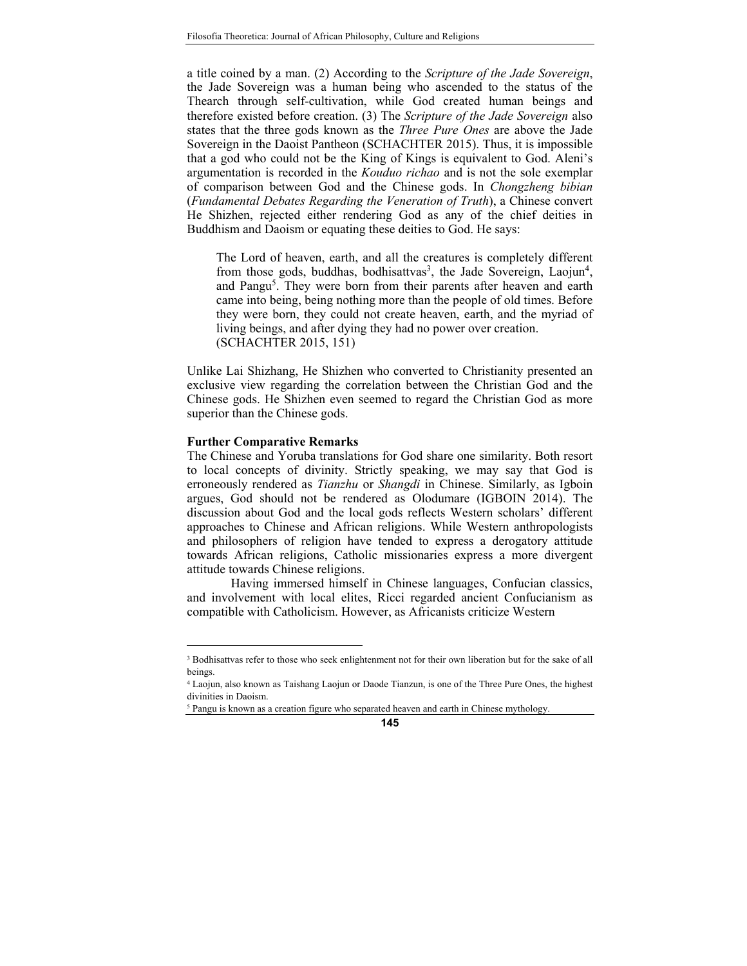a title coined by a man. (2) According to the *Scripture of the Jade Sovereign*, the Jade Sovereign was a human being who ascended to the status of the Thearch through self-cultivation, while God created human beings and therefore existed before creation. (3) The *Scripture of the Jade Sovereign* also states that the three gods known as the *Three Pure Ones* are above the Jade Sovereign in the Daoist Pantheon (SCHACHTER 2015). Thus, it is impossible that a god who could not be the King of Kings is equivalent to God. Aleni's argumentation is recorded in the *Kouduo richao* and is not the sole exemplar of comparison between God and the Chinese gods. In *Chongzheng bibian* (*Fundamental Debates Regarding the Veneration of Truth*), a Chinese convert He Shizhen, rejected either rendering God as any of the chief deities in Buddhism and Daoism or equating these deities to God. He says:

The Lord of heaven, earth, and all the creatures is completely different from those gods, buddhas, bodhisattvas<sup>3</sup>, the Jade Sovereign, Laojun<sup>4</sup>, and Pangu<sup>5</sup>. They were born from their parents after heaven and earth came into being, being nothing more than the people of old times. Before they were born, they could not create heaven, earth, and the myriad of living beings, and after dying they had no power over creation. (SCHACHTER 2015, 151)

Unlike Lai Shizhang, He Shizhen who converted to Christianity presented an exclusive view regarding the correlation between the Christian God and the Chinese gods. He Shizhen even seemed to regard the Christian God as more superior than the Chinese gods.

## **Further Comparative Remarks**

<u>.</u>

The Chinese and Yoruba translations for God share one similarity. Both resort to local concepts of divinity. Strictly speaking, we may say that God is erroneously rendered as *Tianzhu* or *Shangdi* in Chinese. Similarly, as Igboin argues, God should not be rendered as Olodumare (IGBOIN 2014). The discussion about God and the local gods reflects Western scholars' different approaches to Chinese and African religions. While Western anthropologists and philosophers of religion have tended to express a derogatory attitude towards African religions, Catholic missionaries express a more divergent attitude towards Chinese religions.

 Having immersed himself in Chinese languages, Confucian classics, and involvement with local elites, Ricci regarded ancient Confucianism as compatible with Catholicism. However, as Africanists criticize Western

<sup>&</sup>lt;sup>3</sup> Bodhisattvas refer to those who seek enlightenment not for their own liberation but for the sake of all beings.

<sup>4</sup> Laojun, also known as Taishang Laojun or Daode Tianzun, is one of the Three Pure Ones, the highest divinities in Daoism.

<sup>&</sup>lt;sup>5</sup> Pangu is known as a creation figure who separated heaven and earth in Chinese mythology.

**<sup>145</sup>**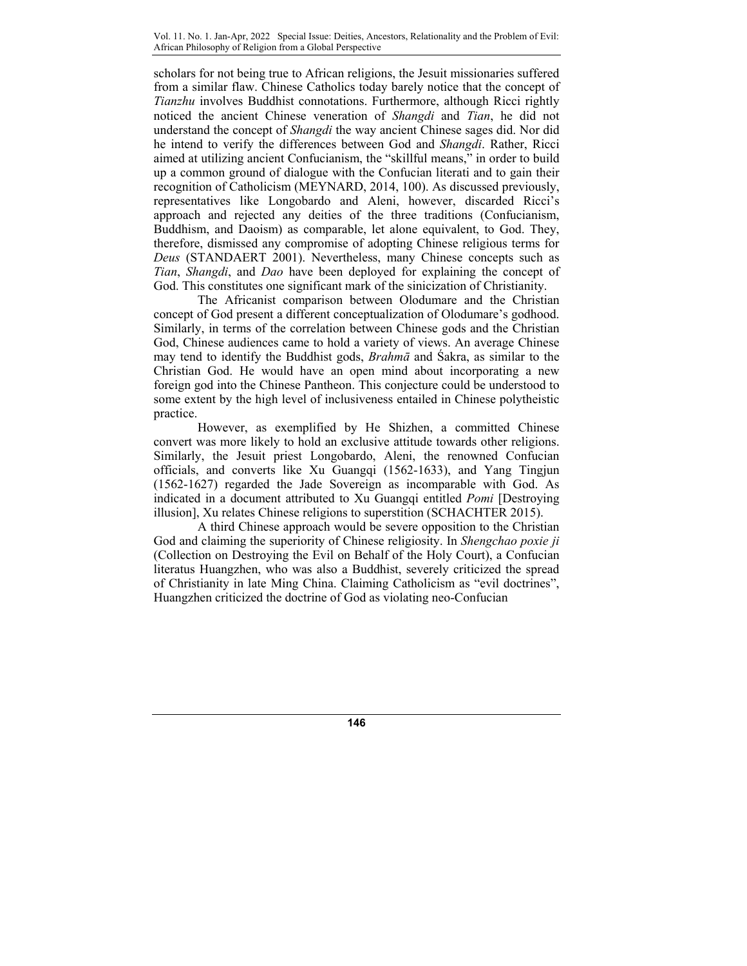scholars for not being true to African religions, the Jesuit missionaries suffered from a similar flaw. Chinese Catholics today barely notice that the concept of *Tianzhu* involves Buddhist connotations. Furthermore, although Ricci rightly noticed the ancient Chinese veneration of *Shangdi* and *Tian*, he did not understand the concept of *Shangdi* the way ancient Chinese sages did. Nor did he intend to verify the differences between God and *Shangdi*. Rather, Ricci aimed at utilizing ancient Confucianism, the "skillful means," in order to build up a common ground of dialogue with the Confucian literati and to gain their recognition of Catholicism (MEYNARD, 2014, 100). As discussed previously, representatives like Longobardo and Aleni, however, discarded Ricci's approach and rejected any deities of the three traditions (Confucianism, Buddhism, and Daoism) as comparable, let alone equivalent, to God. They, therefore, dismissed any compromise of adopting Chinese religious terms for *Deus* (STANDAERT 2001). Nevertheless, many Chinese concepts such as *Tian*, *Shangdi*, and *Dao* have been deployed for explaining the concept of God. This constitutes one significant mark of the sinicization of Christianity.

The Africanist comparison between Olodumare and the Christian concept of God present a different conceptualization of Olodumare's godhood. Similarly, in terms of the correlation between Chinese gods and the Christian God, Chinese audiences came to hold a variety of views. An average Chinese may tend to identify the Buddhist gods, *Brahmā* and Śakra, as similar to the Christian God. He would have an open mind about incorporating a new foreign god into the Chinese Pantheon. This conjecture could be understood to some extent by the high level of inclusiveness entailed in Chinese polytheistic practice.

However, as exemplified by He Shizhen, a committed Chinese convert was more likely to hold an exclusive attitude towards other religions. Similarly, the Jesuit priest Longobardo, Aleni, the renowned Confucian officials, and converts like Xu Guangqi (1562-1633), and Yang Tingjun (1562-1627) regarded the Jade Sovereign as incomparable with God. As indicated in a document attributed to Xu Guangqi entitled *Pomi* [Destroying illusion], Xu relates Chinese religions to superstition (SCHACHTER 2015).

A third Chinese approach would be severe opposition to the Christian God and claiming the superiority of Chinese religiosity. In *Shengchao poxie ji* (Collection on Destroying the Evil on Behalf of the Holy Court), a Confucian literatus Huangzhen, who was also a Buddhist, severely criticized the spread of Christianity in late Ming China. Claiming Catholicism as "evil doctrines", Huangzhen criticized the doctrine of God as violating neo-Confucian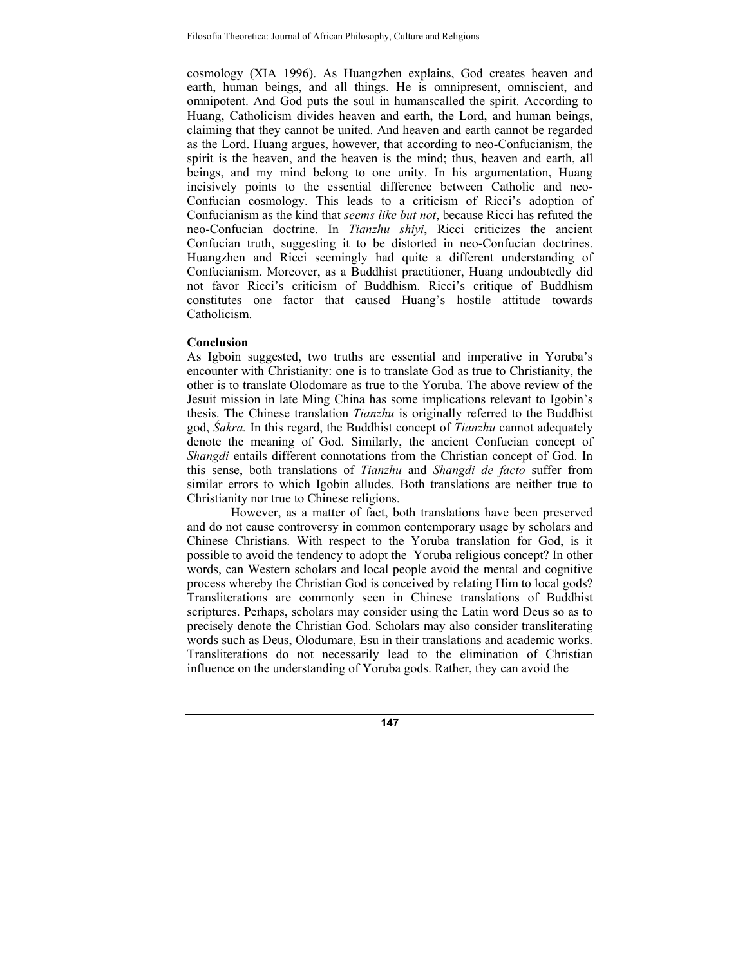cosmology (XIA 1996). As Huangzhen explains, God creates heaven and earth, human beings, and all things. He is omnipresent, omniscient, and omnipotent. And God puts the soul in humanscalled the spirit. According to Huang, Catholicism divides heaven and earth, the Lord, and human beings, claiming that they cannot be united. And heaven and earth cannot be regarded as the Lord. Huang argues, however, that according to neo-Confucianism, the spirit is the heaven, and the heaven is the mind; thus, heaven and earth, all beings, and my mind belong to one unity. In his argumentation, Huang incisively points to the essential difference between Catholic and neo-Confucian cosmology. This leads to a criticism of Ricci's adoption of Confucianism as the kind that *seems like but not*, because Ricci has refuted the neo-Confucian doctrine. In *Tianzhu shiyi*, Ricci criticizes the ancient Confucian truth, suggesting it to be distorted in neo-Confucian doctrines. Huangzhen and Ricci seemingly had quite a different understanding of Confucianism. Moreover, as a Buddhist practitioner, Huang undoubtedly did not favor Ricci's criticism of Buddhism. Ricci's critique of Buddhism constitutes one factor that caused Huang's hostile attitude towards Catholicism.

## **Conclusion**

As Igboin suggested, two truths are essential and imperative in Yoruba's encounter with Christianity: one is to translate God as true to Christianity, the other is to translate Olodomare as true to the Yoruba. The above review of the Jesuit mission in late Ming China has some implications relevant to Igobin's thesis. The Chinese translation *Tianzhu* is originally referred to the Buddhist god, *Śakra.* In this regard, the Buddhist concept of *Tianzhu* cannot adequately denote the meaning of God. Similarly, the ancient Confucian concept of *Shangdi* entails different connotations from the Christian concept of God. In this sense, both translations of *Tianzhu* and *Shangdi de facto* suffer from similar errors to which Igobin alludes. Both translations are neither true to Christianity nor true to Chinese religions.

 However, as a matter of fact, both translations have been preserved and do not cause controversy in common contemporary usage by scholars and Chinese Christians. With respect to the Yoruba translation for God, is it possible to avoid the tendency to adopt the Yoruba religious concept? In other words, can Western scholars and local people avoid the mental and cognitive process whereby the Christian God is conceived by relating Him to local gods? Transliterations are commonly seen in Chinese translations of Buddhist scriptures. Perhaps, scholars may consider using the Latin word Deus so as to precisely denote the Christian God. Scholars may also consider transliterating words such as Deus, Olodumare, Esu in their translations and academic works. Transliterations do not necessarily lead to the elimination of Christian influence on the understanding of Yoruba gods. Rather, they can avoid the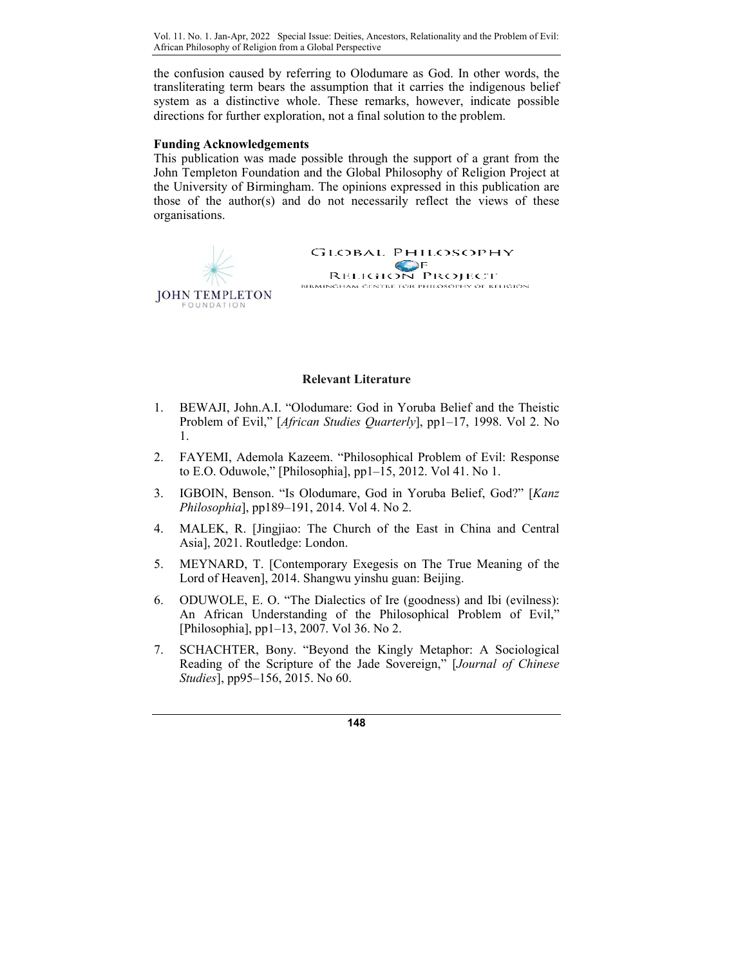Vol. 11. No. 1. Jan-Apr, 2022 Special Issue: Deities, Ancestors, Relationality and the Problem of Evil: African Philosophy of Religion from a Global Perspective

the confusion caused by referring to Olodumare as God. In other words, the transliterating term bears the assumption that it carries the indigenous belief system as a distinctive whole. These remarks, however, indicate possible directions for further exploration, not a final solution to the problem.

#### **Funding Acknowledgements**

This publication was made possible through the support of a grant from the John Templeton Foundation and the Global Philosophy of Religion Project at the University of Birmingham. The opinions expressed in this publication are those of the author(s) and do not necessarily reflect the views of these organisations.

> **GLOBAL PHILOSOPHY SERIGION PROJECT** BIRMINGHAM CENTRE FOR PHILOSOPHY OF RELIGION



#### **Relevant Literature**

- 1. BEWAJI, John.A.I. "Olodumare: God in Yoruba Belief and the Theistic Problem of Evil," [*African Studies Quarterly*], pp1–17, 1998. Vol 2. No 1.
- 2. FAYEMI, Ademola Kazeem. "Philosophical Problem of Evil: Response to E.O. Oduwole," [Philosophia],  $pp1–15$ , 2012. Vol 41. No 1.
- 3. IGBOIN, Benson. "Is Olodumare, God in Yoruba Belief, God?" [*Kanz Philosophia*], pp189–191, 2014. Vol 4. No 2.
- 4. MALEK, R. [Jingjiao: The Church of the East in China and Central Asia], 2021. Routledge: London.
- 5. MEYNARD, T. [Contemporary Exegesis on The True Meaning of the Lord of Heaven], 2014. Shangwu yinshu guan: Beijing.
- 6. ODUWOLE, E. O. "The Dialectics of Ire (goodness) and Ibi (evilness): An African Understanding of the Philosophical Problem of Evil," [Philosophia], pp1–13, 2007. Vol 36. No 2.
- 7. SCHACHTER, Bony. "Beyond the Kingly Metaphor: A Sociological Reading of the Scripture of the Jade Sovereign," [*Journal of Chinese Studies*], pp95–156, 2015. No 60.